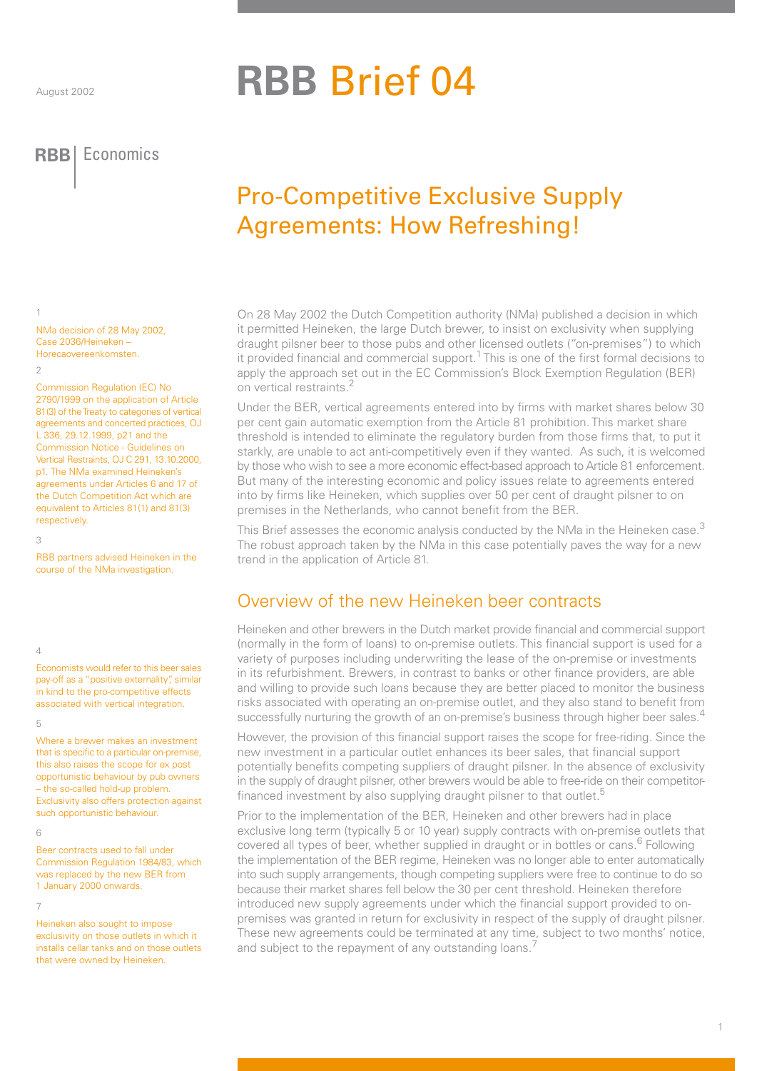# **RBB** Brief 04

**RBB** Economics **RBB** Economics

## Pro-Competitive Exclusive Supply Agreements: How Refreshing!

On 28 May 2002 the Dutch Competition authority (NMa) published a decision in which it permitted Heineken, the large Dutch brewer, to insist on exclusivity when supplying draught pilsner beer to those pubs and other licensed outlets ("on-premises") to which it provided financial and commercial support.<sup>1</sup> This is one of the first formal decisions to apply the approach set out in the EC Commission's Block Exemption Regulation (BER) on vertical restraints.<sup>2</sup>

Under the BER, vertical agreements entered into by firms with market shares below 30 per cent gain automatic exemption from the Article 81 prohibition. This market share threshold is intended to eliminate the regulatory burden from those firms that, to put it starkly, are unable to act anti-competitively even if they wanted. As such, it is welcomed by those who wish to see a more economic effect-based approach to Article 81 enforcement. But many of the interesting economic and policy issues relate to agreements entered into by firms like Heineken, which supplies over 50 per cent of draught pilsner to on premises in the Netherlands, who cannot benefit from the BER.

This Brief assesses the economic analysis conducted by the NMa in the Heineken case.<sup>3</sup> The robust approach taken by the NMa in this case potentially paves the way for a new trend in the application of Article 81.

## Overview of the new Heineken beer contracts

Heineken and other brewers in the Dutch market provide financial and commercial support (normally in the form of loans) to on-premise outlets. This financial support is used for a variety of purposes including underwriting the lease of the on-premise or investments in its refurbishment. Brewers, in contrast to banks or other finance providers, are able and willing to provide such loans because they are better placed to monitor the business risks associated with operating an on-premise outlet, and they also stand to benefit from successfully nurturing the growth of an on-premise's business through higher beer sales.<sup>4</sup>

However, the provision of this financial support raises the scope for free-riding. Since the new investment in a particular outlet enhances its beer sales, that financial support potentially benefits competing suppliers of draught pilsner. In the absence of exclusivity in the supply of draught pilsner, other brewers would be able to free-ride on their competitorfinanced investment by also supplying draught pilsner to that outlet.<sup>5</sup>

Prior to the implementation of the BER, Heineken and other brewers had in place exclusive long term (typically 5 or 10 year) supply contracts with on-premise outlets that covered all types of beer, whether supplied in draught or in bottles or cans.<sup>6</sup> Following the implementation of the BER regime, Heineken was no longer able to enter automatically into such supply arrangements, though competing suppliers were free to continue to do so because their market shares fell below the 30 per cent threshold. Heineken therefore introduced new supply agreements under which the financial support provided to onpremises was granted in return for exclusivity in respect of the supply of draught pilsner. These new agreements could be terminated at any time, subject to two months' notice, and subject to the repayment of any outstanding loans.<sup>7</sup>

NMa decision of 28 May 2002, Case 2036/Heineken – Horecaovereenkomsten.  $\overline{2}$ 

Commission Regulation (EC) No 2790/1999 on the application of Article 81(3) of the Treaty to categories of vertical agreements and concerted practices, OJ L 336, 29.12.1999, p21 and the Commission Notice - Guidelines on Vertical Restraints, OJ C 291, 13.10.2000, p1. The NMa examined Heineken's agreements under Articles 6 and 17 of the Dutch Competition Act which are equivalent to Articles 81(1) and 81(3) respectively.

 $\overline{a}$ 

1

RBB partners advised Heineken in the course of the NMa investigation.

4

Economists would refer to this beer sales pay-off as a "positive externality", similar in kind to the pro-competitive effects associated with vertical integration.

#### 5

Where a brewer makes an investment that is specific to a particular on-premise, this also raises the scope for ex post opportunistic behaviour by pub owners – the so-called hold-up problem. Exclusivity also offers protection against such opportunistic behaviour.

#### 6

Beer contracts used to fall under Commission Regulation 1984/83, which was replaced by the new BER from 1 January 2000 onwards.

#### 7

Heineken also sought to impose exclusivity on those outlets in which it installs cellar tanks and on those outlets that were owned by Heineken.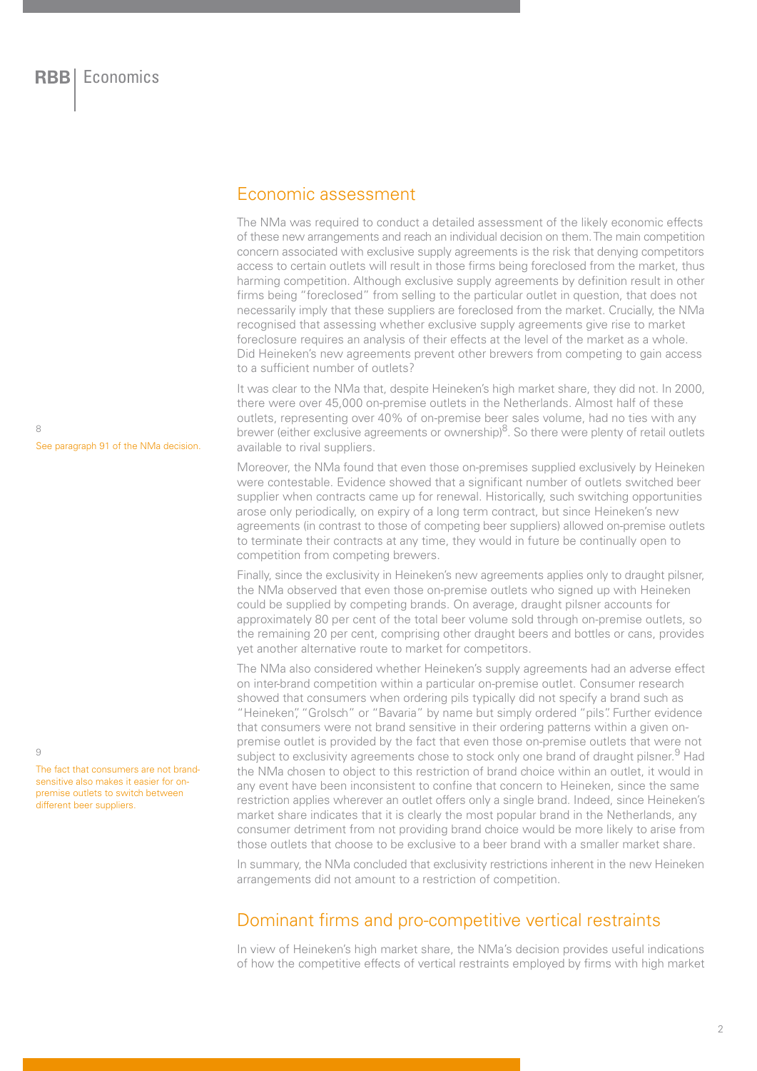## Economic assessment

The NMa was required to conduct a detailed assessment of the likely economic effects of these new arrangements and reach an individual decision on them. The main competition concern associated with exclusive supply agreements is the risk that denying competitors access to certain outlets will result in those firms being foreclosed from the market, thus harming competition. Although exclusive supply agreements by definition result in other firms being "foreclosed" from selling to the particular outlet in question, that does not necessarily imply that these suppliers are foreclosed from the market. Crucially, the NMa recognised that assessing whether exclusive supply agreements give rise to market foreclosure requires an analysis of their effects at the level of the market as a whole. Did Heineken's new agreements prevent other brewers from competing to gain access to a sufficient number of outlets?

It was clear to the NMa that, despite Heineken's high market share, they did not. In 2000, there were over 45,000 on-premise outlets in the Netherlands. Almost half of these outlets, representing over 40% of on-premise beer sales volume, had no ties with any brewer (either exclusive agreements or ownership) $8$ . So there were plenty of retail outlets available to rival suppliers.

Moreover, the NMa found that even those on-premises supplied exclusively by Heineken were contestable. Evidence showed that a significant number of outlets switched beer supplier when contracts came up for renewal. Historically, such switching opportunities arose only periodically, on expiry of a long term contract, but since Heineken's new agreements (in contrast to those of competing beer suppliers) allowed on-premise outlets to terminate their contracts at any time, they would in future be continually open to competition from competing brewers.

Finally, since the exclusivity in Heineken's new agreements applies only to draught pilsner, the NMa observed that even those on-premise outlets who signed up with Heineken could be supplied by competing brands. On average, draught pilsner accounts for approximately 80 per cent of the total beer volume sold through on-premise outlets, so the remaining 20 per cent, comprising other draught beers and bottles or cans, provides yet another alternative route to market for competitors.

The NMa also considered whether Heineken's supply agreements had an adverse effect on inter-brand competition within a particular on-premise outlet. Consumer research showed that consumers when ordering pils typically did not specify a brand such as "Heineken", "Grolsch" or "Bavaria" by name but simply ordered "pils". Further evidence that consumers were not brand sensitive in their ordering patterns within a given onpremise outlet is provided by the fact that even those on-premise outlets that were not subject to exclusivity agreements chose to stock only one brand of draught pilsner.<sup>9</sup> Had the NMa chosen to object to this restriction of brand choice within an outlet, it would in any event have been inconsistent to confine that concern to Heineken, since the same restriction applies wherever an outlet offers only a single brand. Indeed, since Heineken's market share indicates that it is clearly the most popular brand in the Netherlands, any consumer detriment from not providing brand choice would be more likely to arise from those outlets that choose to be exclusive to a beer brand with a smaller market share.

In summary, the NMa concluded that exclusivity restrictions inherent in the new Heineken arrangements did not amount to a restriction of competition.

## Dominant firms and pro-competitive vertical restraints

In view of Heineken's high market share, the NMa's decision provides useful indications of how the competitive effects of vertical restraints employed by firms with high market

8 See paragraph 91 of the NMa decision.

 $\alpha$ 

The fact that consumers are not brandsensitive also makes it easier for onpremise outlets to switch between different beer suppliers.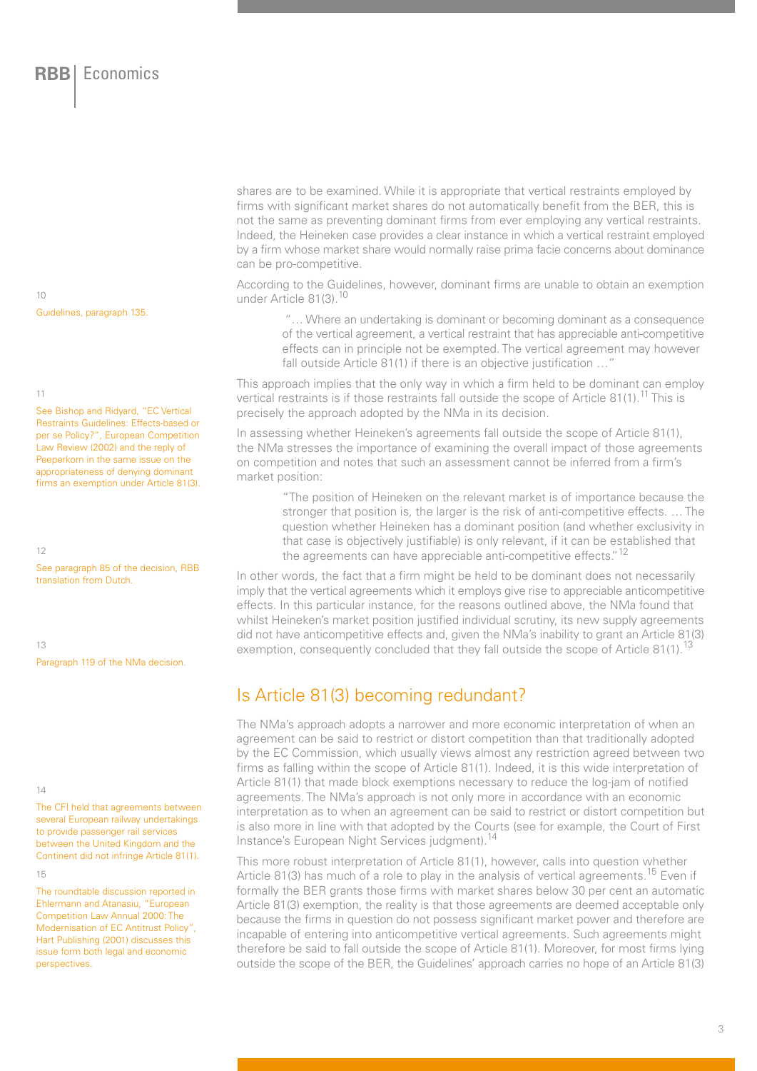10 Guidelines, paragraph 135.

#### 11

See Bishop and Ridyard, "EC Vertical Restraints Guidelines: Effects-based or per se Policy?", European Competition Law Review (2002) and the reply of Peeperkorn in the same issue on the appropriateness of denying dominant firms an exemption under Article 81(3).

12

See paragraph 85 of the decision, RBB translation from Dutch.

13

Paragraph 119 of the NMa decision.

#### 14

The CFI held that agreements between several European railway undertakings to provide passenger rail services between the United Kingdom and the Continent did not infringe Article 81(1).

15

The roundtable discussion reported in Ehlermann and Atanasiu, "European Competition Law Annual 2000: The Modernisation of EC Antitrust Policy", Hart Publishing (2001) discusses this issue form both legal and economic perspectives.

shares are to be examined. While it is appropriate that vertical restraints employed by firms with significant market shares do not automatically benefit from the BER, this is not the same as preventing dominant firms from ever employing any vertical restraints. Indeed, the Heineken case provides a clear instance in which a vertical restraint employed by a firm whose market share would normally raise prima facie concerns about dominance can be pro-competitive.

According to the Guidelines, however, dominant firms are unable to obtain an exemption under Article 81(3).<sup>10</sup>

 "… Where an undertaking is dominant or becoming dominant as a consequence of the vertical agreement, a vertical restraint that has appreciable anti-competitive effects can in principle not be exempted. The vertical agreement may however fall outside Article 81(1) if there is an objective justification ...

This approach implies that the only way in which a firm held to be dominant can employ vertical restraints is if those restraints fall outside the scope of Article 81(1).<sup>11</sup> This is precisely the approach adopted by the NMa in its decision.

In assessing whether Heineken's agreements fall outside the scope of Article 81(1), the NMa stresses the importance of examining the overall impact of those agreements on competition and notes that such an assessment cannot be inferred from a firm's market position:

"The position of Heineken on the relevant market is of importance because the stronger that position is, the larger is the risk of anti-competitive effects. … The question whether Heineken has a dominant position (and whether exclusivity in that case is objectively justifiable) is only relevant, if it can be established that the agreements can have appreciable anti-competitive effects."<sup>12</sup>

In other words, the fact that a firm might be held to be dominant does not necessarily imply that the vertical agreements which it employs give rise to appreciable anticompetitive effects. In this particular instance, for the reasons outlined above, the NMa found that whilst Heineken's market position justified individual scrutiny, its new supply agreements did not have anticompetitive effects and, given the NMa's inability to grant an Article 81(3) exemption, consequently concluded that they fall outside the scope of Article 81(1).<sup>13</sup>

## Is Article 81(3) becoming redundant?

The NMa's approach adopts a narrower and more economic interpretation of when an agreement can be said to restrict or distort competition than that traditionally adopted by the EC Commission, which usually views almost any restriction agreed between two firms as falling within the scope of Article 81(1). Indeed, it is this wide interpretation of Article 81(1) that made block exemptions necessary to reduce the log-jam of notified agreements. The NMa's approach is not only more in accordance with an economic interpretation as to when an agreement can be said to restrict or distort competition but is also more in line with that adopted by the Courts (see for example, the Court of First Instance's European Night Services judgment).14

This more robust interpretation of Article 81(1), however, calls into question whether Article 81(3) has much of a role to play in the analysis of vertical agreements.<sup>15</sup> Even if formally the BER grants those firms with market shares below 30 per cent an automatic Article 81(3) exemption, the reality is that those agreements are deemed acceptable only because the firms in question do not possess significant market power and therefore are incapable of entering into anticompetitive vertical agreements. Such agreements might therefore be said to fall outside the scope of Article 81(1). Moreover, for most firms lying outside the scope of the BER, the Guidelines' approach carries no hope of an Article 81(3)